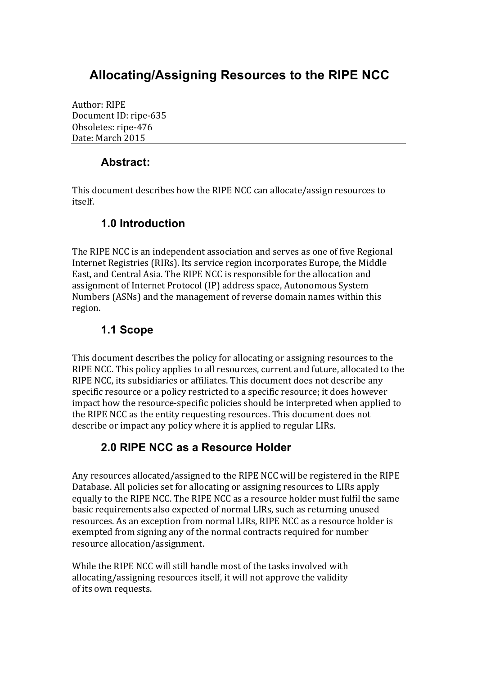# **Allocating/Assigning Resources to the RIPE NCC**

Author: RIPE Document ID: ripe-635 Obsoletes: ripe-476 Date: March 2015

## **Abstract:**

This document describes how the RIPE NCC can allocate/assign resources to itself.

#### **1.0 Introduction**

The RIPE NCC is an independent association and serves as one of five Regional Internet Registries (RIRs). Its service region incorporates Europe, the Middle East, and Central Asia. The RIPE NCC is responsible for the allocation and assignment of Internet Protocol (IP) address space, Autonomous System Numbers (ASNs) and the management of reverse domain names within this region.

## **1.1 Scope**

This document describes the policy for allocating or assigning resources to the RIPE NCC. This policy applies to all resources, current and future, allocated to the RIPE NCC, its subsidiaries or affiliates. This document does not describe any specific resource or a policy restricted to a specific resource; it does however impact how the resource-specific policies should be interpreted when applied to the RIPE NCC as the entity requesting resources. This document does not describe or impact any policy where it is applied to regular LIRs.

#### **2.0 RIPE NCC as a Resource Holder**

Any resources allocated/assigned to the RIPE NCC will be registered in the RIPE Database. All policies set for allocating or assigning resources to LIRs apply equally to the RIPE NCC. The RIPE NCC as a resource holder must fulfil the same basic requirements also expected of normal LIRs, such as returning unused resources. As an exception from normal LIRs, RIPE NCC as a resource holder is exempted from signing any of the normal contracts required for number resource allocation/assignment.

While the RIPE NCC will still handle most of the tasks involved with allocating/assigning resources itself, it will not approve the validity of its own requests.